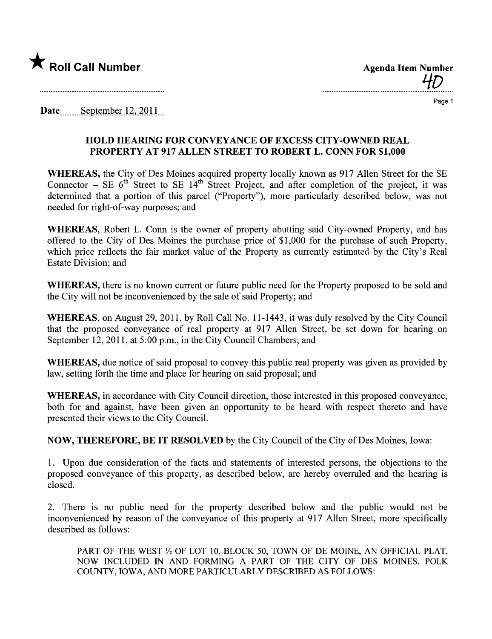

Page 1

Date September  $12, 2011$ 

## HOLD HEARING FOR CONVEYANCE OF EXCESS CITY-OWNED REAL PROPERTY AT 917 ALLEN STREET TO ROBERT L. CONN FOR \$1,000

WHEREAS, the City of Des Moines acquired property locally known as 917 Allen Street for the SE Connector – SE  $6<sup>th</sup>$  Street to SE 14<sup>th</sup> Street Project, and after completion of the project, it was determined that a portion of this parcel ("Property"), more particularly described below, was not needed for right-of-way purposes; and

WHEREAS, Robert L. Conn is the owner of property abutting said City-owned Property, and has offered to the City of Des Moines the purchase price of \$1,000 for the purchase of such Property, which price reflects the fair market value of the Property as currently estimated by the City's Real Estate Division; and

WHEREAS, there is no known current or future public need for the Property proposed to be sold and the City will not be inconvenienced by the sale of said Property; and

WHEREAS, on August 29,2011, by Roll Call No. 11-1443, it was duly resolved by the City Council that the proposed conveyance of real property at 917 Allen Street, be set down for hearing on September 12, 2011, at 5:00 p.m., in the City Council Chambers; and

WHEREAS, due notice of said proposal to convey this public real property was given as provided by law, setting forth the time and place for hearing on said proposal; and

WHEREAS, in accordance with City Council direction, those interested in this proposed conveyance, both for and against, have been given an opportunity to be heard with respect thereto and have presented their views to the City CounciL.

NOW, THEREFORE, BE IT RESOLVED by the City Council of the City of Des Moines, Iowa:

1. Upon due consideration of the facts and statements of interested persons, the objections to the proposed conveyance of this property, as described below, are hereby overrled and the hearing is closed.

2. There is no public need for the property described below and the public would not be inconvenienced by reason of the conveyance of this property at 917 Allen Street, more specifically described as follows:

PART OF THE WEST  $\frac{1}{2}$  OF LOT 10, BLOCK 50, TOWN OF DE MOINE, AN OFFICIAL PLAT, NOW INCLUDED IN AND FORMING A PART OF THE CITY OF DES MOINES, POLK COUNTY, IOWA, AND MORE PARTICULARLY DESCRIBED AS FOLLOWS: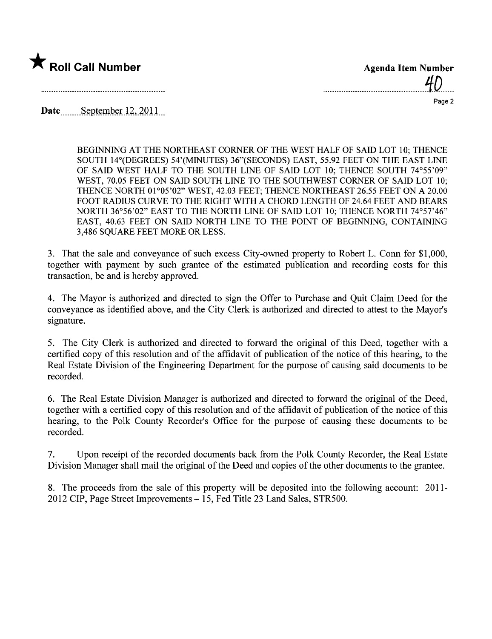

Page 2

Date  $\frac{\text{September } 12, 2011}{\text{September } 12, 2011}$ 

BEGINING AT THE NORTHEAST CORNER OF THE WEST HALF OF SAID LOT 10; THENCE SOUTH 14°(DEGREES) 54' (MINUTES) 36"(SECONDS) EAST, 55.92 FEET ON THE EAST LINE OF SAID WEST HALF TO THE SOUTH LINE OF SAID LOT 10; THENCE SOUTH 74°55'09" WEST, 70.05 FEET ON SAID SOUTH LINE TO THE SOUTHWEST CORNER OF SAID LOT 10; THENCE NORTH 01°05'02" WEST, 42.03 FEET; THENCE NORTHEAST 26.55 FEET ON A 20.00 FOOT RADIUS CURVE TO THE RIGHT WITH A CHORD LENGTH OF 24.64 FEET AND BEARS NORTH 36°56'02" EAST TO THE NORTH LINE OF SAID LOT 10; THENCE NORTH 74°57'46" EAST, 40.63 FEET ON SAID NORTH LINE TO THE POINT OF BEGINNING, CONTAINING 3,486 SQUARE FEET MORE OR LESS.

3. That the sale and conveyance of such excess City-owned property to Robert L. Conn for \$1,000, together with payment by such grantee of the estimated publication and recording costs for this transaction, be and is hereby approved.

4. The Mayor is authorized and directed to sign the Offer to Purchase and Quit Claim Deed for the conveyance as identified above, and the City Clerk is authorized and directed to attest to the Mayor's signature.

5. The City Clerk is authorized and directed to forward the original of this Deed, together with a certified copy of this resolution and of the affidavit of publication of the notice of this hearing, to the Real Estate Division of the Engineering Department for the purpose of causing said documents to be recorded.

6. The Real Estate Division Manager is authorized and directed to forward the original of the Deed, together with a certified copy of this resolution and of the affidavit of publication of the notice of this hearing, to the Polk County Recorder's Office for the purpose of causing these documents to be recorded.

7. Upon receipt of the recorded documents back from the Polk County Recorder, the Real Estate Division Manager shall mail the original of the Deed and copies of the other documents to the grantee.

8. The proceeds from the sale of this property will be deposited into the following account: 2011-2012 CIP, Page Street Improvements - 15, Fed Title 23 Land Sales, STR500.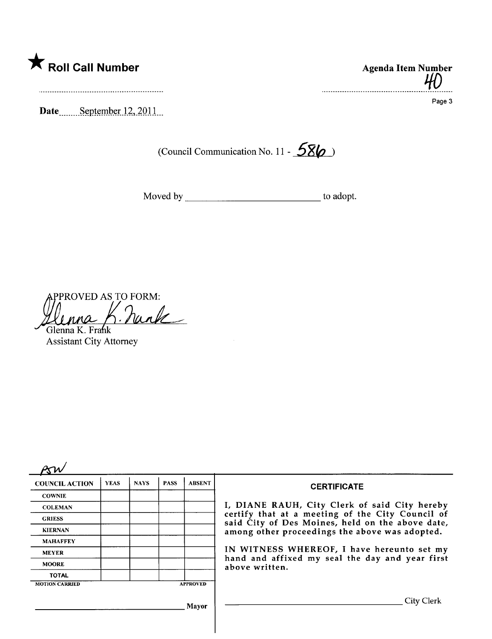

Date  $\frac{\text{September 12,2011}}{\text{September 12}}$ 

(Council Communication No. 11 -  $\frac{58}{\omega}$ )

Page 3

Moved by to adopt.

**APPROVED AS TO FORM:** Nunk

Glenna K. Fra**ń**k Assistant City Attorney

| <b>COUNCIL ACTION</b> | <b>YEAS</b> | <b>NAYS</b> | <b>PASS</b> | <b>ABSENT</b>   | <b>CERTIFICATE</b><br>I, DIANE RAUH, City Clerk of said City hereby<br>certify that at a meeting of the City Council of<br>said City of Des Moines, held on the above date,<br>among other proceedings the above was adopted.<br>IN WITNESS WHEREOF, I have hereunto set my<br>hand and affixed my seal the day and year first<br>above written. |
|-----------------------|-------------|-------------|-------------|-----------------|--------------------------------------------------------------------------------------------------------------------------------------------------------------------------------------------------------------------------------------------------------------------------------------------------------------------------------------------------|
| <b>COWNIE</b>         |             |             |             |                 |                                                                                                                                                                                                                                                                                                                                                  |
| <b>COLEMAN</b>        |             |             |             |                 |                                                                                                                                                                                                                                                                                                                                                  |
| <b>GRIESS</b>         |             |             |             |                 |                                                                                                                                                                                                                                                                                                                                                  |
| <b>KIERNAN</b>        |             |             |             |                 |                                                                                                                                                                                                                                                                                                                                                  |
| <b>MAHAFFEY</b>       |             |             |             |                 |                                                                                                                                                                                                                                                                                                                                                  |
| <b>MEYER</b>          |             |             |             |                 |                                                                                                                                                                                                                                                                                                                                                  |
| <b>MOORE</b>          |             |             |             |                 |                                                                                                                                                                                                                                                                                                                                                  |
| <b>TOTAL</b>          |             |             |             |                 |                                                                                                                                                                                                                                                                                                                                                  |
| <b>MOTION CARRIED</b> |             |             |             | <b>APPROVED</b> |                                                                                                                                                                                                                                                                                                                                                  |
|                       |             |             |             | Mayor           | City Clerk                                                                                                                                                                                                                                                                                                                                       |